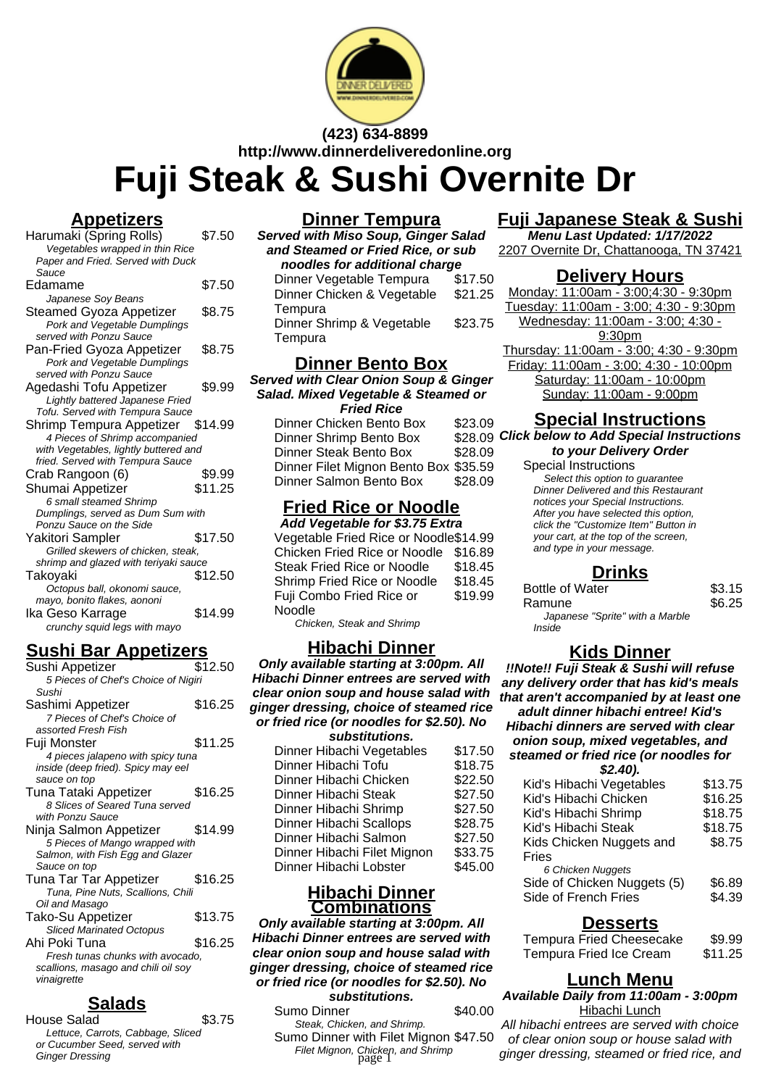

#### **(423) 634-8899 http://www.dinnerdeliveredonline.org**

# **Fuji Steak & Sushi Overnite Dr**

## **Appetizers**

| <u>тере</u><br>e.                     |         |
|---------------------------------------|---------|
| Harumaki (Spring Rolls)               | \$7.50  |
| Vegetables wrapped in thin Rice       |         |
| Paper and Fried. Served with Duck     |         |
| Sauce                                 |         |
| Edamame                               | \$7.50  |
| Japanese Soy Beans                    |         |
| Steamed Gyoza Appetizer               | \$8.75  |
| Pork and Vegetable Dumplings          |         |
| served with Ponzu Sauce               |         |
| Pan-Fried Gyoza Appetizer             | \$8.75  |
| Pork and Vegetable Dumplings          |         |
| served with Ponzu Sauce               |         |
| Agedashi Tofu Appetizer               | \$9.99  |
| Lightly battered Japanese Fried       |         |
| Tofu. Served with Tempura Sauce       |         |
| Shrimp Tempura Appetizer \$14.99      |         |
| 4 Pieces of Shrimp accompanied        |         |
| with Vegetables, lightly buttered and |         |
| fried. Served with Tempura Sauce      |         |
| Crab Rangoon (6)                      | \$9.99  |
| Shumai Appetizer                      | \$11.25 |
| 6 small steamed Shrimp                |         |
| Dumplings, served as Dum Sum with     |         |
| Ponzu Sauce on the Side               |         |
| Yakitori Sampler                      | \$17.50 |
| Grilled skewers of chicken, steak,    |         |
| shrimp and glazed with teriyaki sauce |         |
| Takoyaki                              | \$12.50 |
| Octopus ball, okonomi sauce,          |         |
| mayo, bonito flakes, aononi           |         |
| Ika Geso Karrage                      | \$14.99 |
| crunchy squid legs with mayo          |         |
|                                       |         |

# **Sushi Bar Appetizers**

| Sushi Appetizer                     | \$12.50 |
|-------------------------------------|---------|
| 5 Pieces of Chef's Choice of Nigiri |         |
| Sushi                               |         |
| Sashimi Appetizer                   | \$16.25 |
| 7 Pieces of Chef's Choice of        |         |
| assorted Fresh Fish                 |         |
| Fuji Monster                        | \$11.25 |
| 4 pieces jalapeno with spicy tuna   |         |
| inside (deep fried). Spicy may eel  |         |
| sauce on top                        |         |
| Tuna Tataki Appetizer               | \$16.25 |
| 8 Slices of Seared Tuna served      |         |
| with Ponzu Sauce                    |         |
| Ninja Salmon Appetizer              | \$14.99 |
| 5 Pieces of Mango wrapped with      |         |
| Salmon, with Fish Egg and Glazer    |         |
| Sauce on top                        |         |
| Tuna Tar Tar Appetizer              | \$16.25 |
| Tuna, Pine Nuts, Scallions, Chili   |         |
| Oil and Masago                      |         |
| Tako-Su Appetizer                   | \$13.75 |
| <b>Sliced Marinated Octopus</b>     |         |
| Ahi Poki Tuna                       | \$16.25 |
| Fresh tunas chunks with avocado,    |         |
| scallions, masago and chili oil soy |         |
| vinaigrette                         |         |
|                                     |         |

# **Salads**

| House Salad                       | \$3.75 |
|-----------------------------------|--------|
| Lettuce, Carrots, Cabbage, Sliced |        |
| or Cucumber Seed, served with     |        |
| <b>Ginger Dressing</b>            |        |
|                                   |        |

## **Dinner Tempura**

**Served with Miso Soup, Ginger Salad and Steamed or Fried Rice, or sub noodles for additional charge** Dinner Vegetable Tempura \$17.50 Dinner Chicken & Vegetable **Tempura** \$21.25 Dinner Shrimp & Vegetable \$23.75

**Tempura** 

#### **Dinner Bento Box**

**Served with Clear Onion Soup & Ginger Salad. Mixed Vegetable & Steamed or Fried Rice**

| Dinner Chicken Bento Box              | \$23.09 |
|---------------------------------------|---------|
| Dinner Shrimp Bento Box               | \$28.09 |
| Dinner Steak Bento Box                | \$28.09 |
| Dinner Filet Mignon Bento Box \$35.59 |         |
| Dinner Salmon Bento Box               | \$28.09 |

# **Fried Rice or Noodle**

**Add Vegetable for \$3.75 Extra** Vegetable Fried Rice or Noodle\$14.99 Chicken Fried Rice or Noodle \$16.89 Steak Fried Rice or Noodle \$18.45 Shrimp Fried Rice or Noodle \$18.45 Fuji Combo Fried Rice or Noodle \$19.99

Chicken, Steak and Shrimp

#### **Hibachi Dinner**

**Only available starting at 3:00pm. All Hibachi Dinner entrees are served with clear onion soup and house salad with ginger dressing, choice of steamed rice or fried rice (or noodles for \$2.50). No**

| substitutions.              |         |
|-----------------------------|---------|
| Dinner Hibachi Vegetables   | \$17.50 |
| Dinner Hibachi Tofu         | \$18.75 |
| Dinner Hibachi Chicken      | \$22.50 |
| Dinner Hibachi Steak        | \$27.50 |
| Dinner Hibachi Shrimp       | \$27.50 |
| Dinner Hibachi Scallops     | \$28.75 |
| Dinner Hibachi Salmon       | \$27.50 |
| Dinner Hibachi Filet Mignon | \$33.75 |
| Dinner Hibachi Lobster      | \$45.00 |
|                             |         |

#### **Hibachi Dinner Combinations**

**Only available starting at 3:00pm. All Hibachi Dinner entrees are served with clear onion soup and house salad with ginger dressing, choice of steamed rice or fried rice (or noodles for \$2.50). No substitutions.**

#### Sumo Dinner \$40.00 Steak, Chicken, and Shrimp. Sumo Dinner with Filet Mignon \$47.50 Filet Mignon, Chicken, and Shrimp<br>page 1

## **Fuji Japanese Steak & Sushi**

**Menu Last Updated: 1/17/2022** 2207 Overnite Dr, Chattanooga, TN 37421

#### **Delivery Hours**

Monday: 11:00am - 3:00;4:30 - 9:30pm Tuesday: 11:00am - 3:00; 4:30 - 9:30pm Wednesday: 11:00am - 3:00; 4:30 - 9:30pm Thursday: 11:00am - 3:00; 4:30 - 9:30pm Friday: 11:00am - 3:00; 4:30 - 10:00pm Saturday: 11:00am - 10:00pm Sunday: 11:00am - 9:00pm

#### **Special Instructions**

**Click below to Add Special Instructions to your Delivery Order**

## Special Instructions

Select this option to quarantee Dinner Delivered and this Restaurant notices your Special Instructions. After you have selected this option, click the "Customize Item" Button in your cart, at the top of the screen, and type in your message.

#### **Drinks**

| <b>Bottle of Water</b>          | \$3.15 |
|---------------------------------|--------|
| Ramune                          | \$6.25 |
| Japanese "Sprite" with a Marble |        |
| Inside                          |        |

## **Kids Dinner**

**!!Note!! Fuji Steak & Sushi will refuse any delivery order that has kid's meals that aren't accompanied by at least one adult dinner hibachi entree! Kid's Hibachi dinners are served with clear onion soup, mixed vegetables, and steamed or fried rice (or noodles for \$2.40).**

| 94.TV J.                    |         |
|-----------------------------|---------|
| Kid's Hibachi Vegetables    | \$13.75 |
| Kid's Hibachi Chicken       | \$16.25 |
| Kid's Hibachi Shrimp        | \$18.75 |
| Kid's Hibachi Steak         | \$18.75 |
| Kids Chicken Nuggets and    | \$8.75  |
| Fries                       |         |
| 6 Chicken Nuggets           |         |
| Side of Chicken Nuggets (5) | \$6.89  |
| Side of French Fries        | \$4.39  |
|                             |         |

#### **Desserts**

| <b>Tempura Fried Cheesecake</b> | \$9.99  |
|---------------------------------|---------|
| Tempura Fried Ice Cream         | \$11.25 |

#### **Lunch Menu**

**Available Daily from 11:00am - 3:00pm** Hibachi Lunch

All hibachi entrees are served with choice of clear onion soup or house salad with ginger dressing, steamed or fried rice, and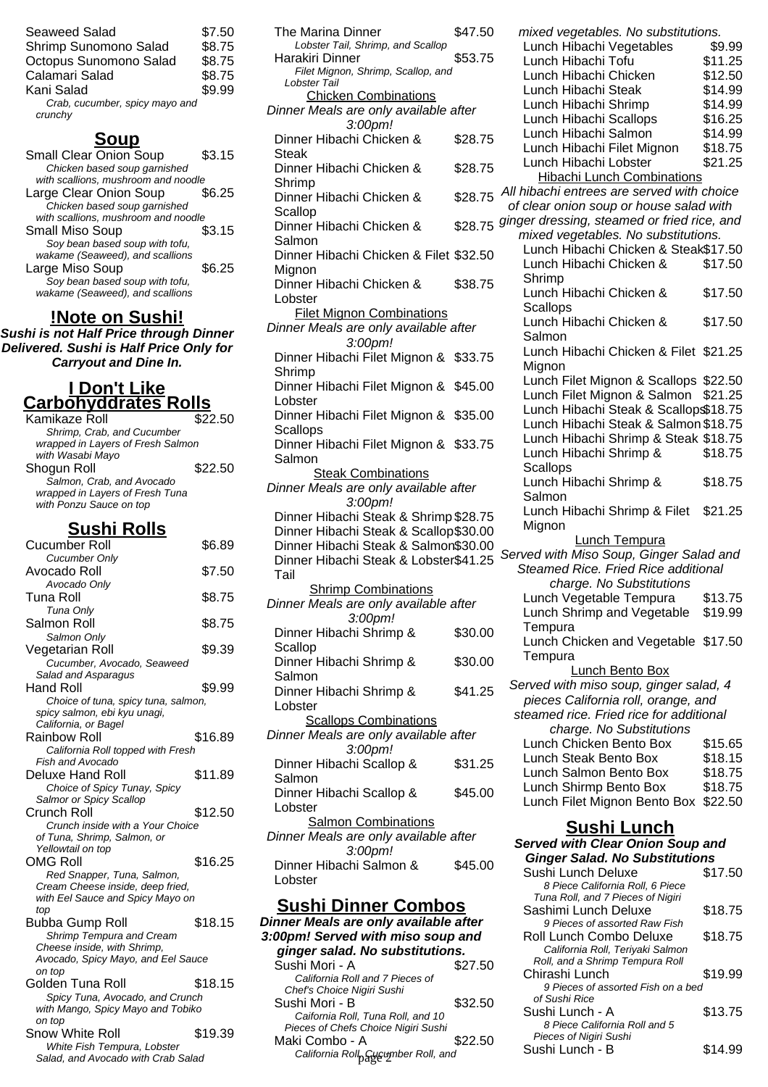| \$7.50 |
|--------|
| \$8.75 |
| \$8.75 |
| \$8.75 |
| \$9.99 |
|        |
|        |

## **Soup**

| <b>Small Clear Onion Soup</b>       | \$3.15 |
|-------------------------------------|--------|
| Chicken based soup garnished        |        |
| with scallions, mushroom and noodle |        |
| Large Clear Onion Soup              | \$6.25 |
| Chicken based soup garnished        |        |
| with scallions, mushroom and noodle |        |
| <b>Small Miso Soup</b>              | \$3.15 |
| Soy bean based soup with tofu,      |        |
| wakame (Seaweed), and scallions     |        |
| Large Miso Soup                     | SG 25  |
| Soy bean based soup with tofu,      |        |
| wakame (Seaweed), and scallions     |        |

#### **!Note on Sushi!**

**Sushi is not Half Price through Dinner Delivered. Sushi is Half Price Only for Carryout and Dine In.**

#### **I Don't Like Carbohyddrates Rolls**

| Kamikaze Roll                     | \$22.50 |
|-----------------------------------|---------|
| Shrimp, Crab, and Cucumber        |         |
| wrapped in Layers of Fresh Salmon |         |
| with Wasabi Mayo                  |         |
| Shogun Roll                       | \$22.50 |
| Salmon, Crab, and Avocado         |         |
| wrapped in Layers of Fresh Tuna   |         |
| with Ponzu Sauce on top           |         |
|                                   |         |

# **Sushi Rolls**

| Cucumber Roll                                                     | \$6.89  |
|-------------------------------------------------------------------|---------|
| <b>Cucumber Only</b>                                              |         |
| Avocado Roll                                                      | \$7.50  |
| Avocado Only                                                      |         |
| Tuna Roll                                                         | \$8.75  |
| Tuna Only                                                         |         |
| Salmon Roll                                                       | \$8.75  |
| Salmon Only                                                       |         |
| Vegetarian Roll                                                   | \$9.39  |
| Cucumber, Avocado, Seaweed                                        |         |
| Salad and Asparagus                                               |         |
| <b>Hand Roll</b>                                                  | \$9.99  |
| Choice of tuna, spicy tuna, salmon,                               |         |
| spicy salmon, ebi kyu unagi,                                      |         |
| California, or Bagel                                              |         |
| Rainbow Roll                                                      | \$16.89 |
| California Roll topped with Fresh                                 |         |
| Fish and Avocado                                                  |         |
| Deluxe Hand Roll                                                  | \$11.89 |
| Choice of Spicy Tunay, Spicy                                      |         |
| Salmor or Spicy Scallop                                           |         |
| Crunch Roll                                                       | \$12.50 |
| Crunch inside with a Your Choice                                  |         |
| of Tuna, Shrimp, Salmon, or                                       |         |
| Yellowtail on top                                                 |         |
| OMG Roll                                                          | \$16.25 |
| Red Snapper, Tuna, Salmon,                                        |         |
| Cream Cheese inside, deep fried,                                  |         |
| with Eel Sauce and Spicy Mayo on                                  |         |
| top                                                               |         |
| Bubba Gump Roll                                                   | \$18.15 |
| Shrimp Tempura and Cream                                          |         |
| Cheese inside, with Shrimp,                                       |         |
| Avocado, Spicy Mayo, and Eel Sauce                                |         |
| on top                                                            |         |
| Golden Tuna Roll                                                  | \$18.15 |
| Spicy Tuna, Avocado, and Crunch                                   |         |
| with Mango, Spicy Mayo and Tobiko                                 |         |
| on top                                                            |         |
| Snow White Roll                                                   | \$19.39 |
| White Fish Tempura, Lobster<br>Salad, and Avocado with Crab Salad |         |
|                                                                   |         |

| <b>The Marina Dinner</b>                                              | \$47.50 |
|-----------------------------------------------------------------------|---------|
| Lobster Tail, Shrimp, and Scallop<br>Harakiri Dinner                  | \$53.75 |
| Filet Mignon, Shrimp, Scallop, and<br>Lobster Tail                    |         |
| <b>Chicken Combinations</b>                                           |         |
| Dinner Meals are only available after<br>3:00pm!                      |         |
| Dinner Hibachi Chicken &<br>Steak                                     | \$28.75 |
| Dinner Hibachi Chicken &<br>Shrimp                                    | \$28.75 |
| Dinner Hibachi Chicken &                                              | \$28.75 |
| Scallop<br>Dinner Hibachi Chicken &                                   | \$28.75 |
| Salmon<br>Dinner Hibachi Chicken & Filet \$32.50                      |         |
| Mignon<br>Dinner Hibachi Chicken &                                    | \$38.75 |
| Lobster<br><b>Filet Mignon Combinations</b>                           |         |
| Dinner Meals are only available after                                 |         |
| 3:00pm!<br>Dinner Hibachi Filet Mignon &                              | \$33.75 |
| Shrimp<br>Dinner Hibachi Filet Mignon &                               | \$45.00 |
| Lobster<br>Dinner Hibachi Filet Mignon & \$35.00                      |         |
| <b>Scallops</b><br>Dinner Hibachi Filet Mignon & \$33.75              |         |
| Salmon                                                                |         |
| <b>Steak Combinations</b><br>Dinner Meals are only available after    |         |
| 3:00pm!                                                               |         |
| Dinner Hibachi Steak & Shrimp \$28.75                                 |         |
| Dinner Hibachi Steak & Scallop\$30.00                                 |         |
| Dinner Hibachi Steak & Salmon\$30.00                                  |         |
|                                                                       |         |
| Dinner Hibachi Steak & Lobster\$41.25<br>Tail                         |         |
| <b>Shrimp Combinations</b>                                            |         |
| Dinner Meals are only available after<br>3:00pm!                      |         |
| Dinner Hibachi Shrimp &                                               | \$30.00 |
| Scallop                                                               |         |
| Dinner Hibachi Shrimp &                                               | \$30.00 |
| Salmon<br>Dinner Hibachi Shrimp &                                     | \$41.25 |
| Lobster                                                               |         |
| <b>Scallops Combinations</b><br>Dinner Meals are only available after |         |
| 3:00pm!<br>Dinner Hibachi Scallop &                                   | \$31.25 |
| Salmon<br>Dinner Hibachi Scallop &                                    | \$45.00 |
| Lobster<br><b>Salmon Combinations</b>                                 |         |
| Dinner Meals are only available after<br>3:00pm!                      |         |
| Dinner Hibachi Salmon &<br>Lobster                                    | \$45.00 |
|                                                                       |         |

# **Sushi Dinner Combos**

| Dinner Meals are only available after |         |  |
|---------------------------------------|---------|--|
| 3:00pm! Served with miso soup and     |         |  |
| ginger salad. No substitutions.       |         |  |
| Sushi Mori - A                        | \$27.50 |  |
| California Roll and 7 Pieces of       |         |  |
| Chef's Choice Nigiri Sushi            |         |  |
| Sushi Mori - B                        | \$32.50 |  |
| Caifornia Roll, Tuna Roll, and 10     |         |  |
| Pieces of Chefs Choice Nigiri Sushi   |         |  |
| Maki Combo - A                        | \$22.50 |  |
| California Roll Gucumber Roll, and    |         |  |

| mixed vegetables. No substitutions.         |         |
|---------------------------------------------|---------|
| Lunch Hibachi Vegetables                    | \$9.99  |
|                                             |         |
| Lunch Hibachi Tofu                          | \$11.25 |
| Lunch Hibachi Chicken                       | \$12.50 |
| Lunch Hibachi Steak                         | \$14.99 |
| Lunch Hibachi Shrimp                        | \$14.99 |
| Lunch Hibachi Scallops                      | \$16.25 |
| Lunch Hibachi Salmon                        | \$14.99 |
| Lunch Hibachi Filet Mignon                  | \$18.75 |
| Lunch Hibachi Lobster                       | \$21.25 |
| <b>Hibachi Lunch Combinations</b>           |         |
| All hibachi entrees are served with choice  |         |
|                                             |         |
| of clear onion soup or house salad with     |         |
| ginger dressing, steamed or fried rice, and |         |
| mixed vegetables. No substitutions.         |         |
| Lunch Hibachi Chicken & Steak\$17.50        |         |
| Lunch Hibachi Chicken &                     | \$17.50 |
| Shrimp                                      |         |
| Lunch Hibachi Chicken &                     | \$17.50 |
| <b>Scallops</b>                             |         |
| Lunch Hibachi Chicken &                     | \$17.50 |
| Salmon                                      |         |
| Lunch Hibachi Chicken & Filet \$21.25       |         |
| Mignon                                      |         |
| Lunch Filet Mignon & Scallops \$22.50       |         |
|                                             | \$21.25 |
| Lunch Filet Mignon & Salmon                 |         |
| Lunch Hibachi Steak & Scallop\$18.75        |         |
| Lunch Hibachi Steak & Salmon \$18.75        |         |
| Lunch Hibachi Shrimp & Steak \$18.75        |         |
| Lunch Hibachi Shrimp &                      | \$18.75 |
| <b>Scallops</b>                             |         |
| Lunch Hibachi Shrimp &                      | \$18.75 |
| Salmon                                      |         |
| Lunch Hibachi Shrimp & Filet                | \$21.25 |
| Mignon                                      |         |
| <b>Lunch Tempura</b>                        |         |
| Served with Miso Soup, Ginger Salad and     |         |
| Steamed Rice. Fried Rice additional         |         |
| charge. No Substitutions                    |         |
|                                             | \$13.75 |
| Lunch Vegetable Tempura                     |         |
| Lunch Shrimp and Vegetable                  | \$19.99 |
| Tempura                                     |         |
| Lunch Chicken and Vegetable \$17.50         |         |
| Tempura                                     |         |
| <b>Lunch Bento Box</b>                      |         |
| Served with miso soup, ginger salad, 4      |         |
| pieces California roll, orange, and         |         |
| steamed rice. Fried rice for additional     |         |
| charge. No Substitutions                    |         |
| Lunch Chicken Bento Box                     | \$15.65 |
| Lunch Steak Bento Box                       | \$18.15 |
| Lunch Salmon Bento Box                      | \$18.75 |
|                                             |         |
| Lunch Shirmp Bento Box                      | \$18.75 |
| Lunch Filet Mignon Bento Box                | \$22.50 |

#### **Sushi Lunch**

#### **Served with Clear Onion Soup and Ginger Salad. No Substitutions**

| Salfflon &                                     | 940.UU  | Sushi Lunch Deluxe<br>8 Piece California Roll, 6 Piece                                         | \$17.50 |
|------------------------------------------------|---------|------------------------------------------------------------------------------------------------|---------|
| <u>ner Combos</u><br>e only available after    |         | Tuna Roll, and 7 Pieces of Nigiri<br>Sashimi Lunch Deluxe<br>9 Pieces of assorted Raw Fish     | \$18.75 |
| with miso soup and<br><b>No substitutions.</b> |         | Roll Lunch Combo Deluxe<br>California Roll, Teriyaki Salmon<br>Roll, and a Shrimp Tempura Roll | \$18.75 |
| l and 7 Pieces of<br>liqiri Sushi              | \$27.50 | Chirashi Lunch<br>9 Pieces of assorted Fish on a bed<br>of Sushi Rice                          | \$19.99 |
| , Tuna Roll, and 10<br>Choice Nigiri Sushi     | \$32.50 | Sushi Lunch - A<br>8 Piece California Roll and 5                                               | \$13.75 |
| A<br>paycumber Roll, and                       | \$22.50 | Pieces of Nigiri Sushi<br>Sushi Lunch - B                                                      | \$14.99 |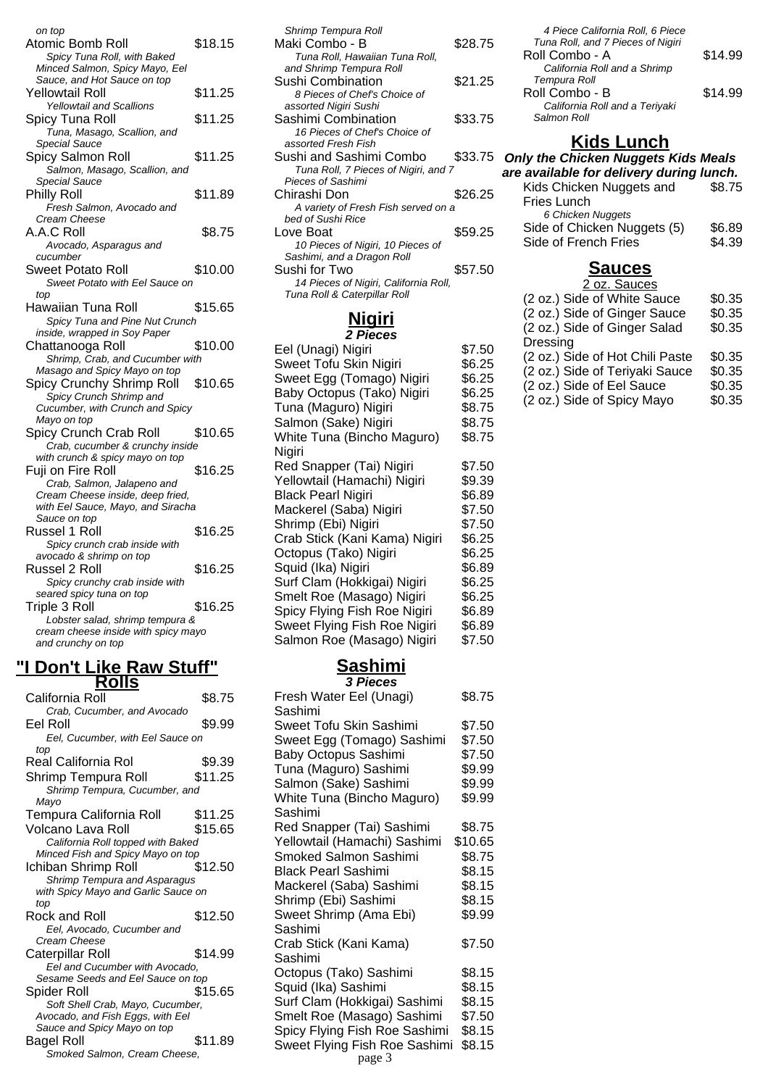| on top                              |         |
|-------------------------------------|---------|
| Atomic Bomb Roll                    | \$18.15 |
| Spicy Tuna Roll, with Baked         |         |
| Minced Salmon, Spicy Mayo, Eel      |         |
| Sauce, and Hot Sauce on top         |         |
| Yellowtail Roll                     | \$11.25 |
| <b>Yellowtail and Scallions</b>     |         |
|                                     |         |
| Spicy Tuna Roll                     | \$11.25 |
| Tuna, Masago, Scallion, and         |         |
| Special Sauce                       |         |
| Spicy Salmon Roll                   | \$11.25 |
| Salmon, Masago, Scallion, and       |         |
| Special Sauce                       |         |
| <b>Philly Roll</b>                  | \$11.89 |
| Fresh Salmon, Avocado and           |         |
| Cream Cheese                        |         |
| A.A.C Roll                          | \$8.75  |
|                                     |         |
| Avocado, Asparagus and              |         |
| cucumber                            |         |
| Sweet Potato Roll                   | \$10.00 |
| Sweet Potato with Eel Sauce on      |         |
| top                                 |         |
| Hawaiian Tuna Roll                  | \$15.65 |
| Spicy Tuna and Pine Nut Crunch      |         |
| inside, wrapped in Soy Paper        |         |
| Chattanooga Roll                    | \$10.00 |
|                                     |         |
| Shrimp, Crab, and Cucumber with     |         |
| Masago and Spicy Mayo on top        |         |
| Spicy Crunchy Shrimp Roll           | \$10.65 |
| Spicy Crunch Shrimp and             |         |
| Cucumber, with Crunch and Spicy     |         |
| Mayo on top                         |         |
| Spicy Crunch Crab Roll              | \$10.65 |
| Crab, cucumber & crunchy inside     |         |
| with crunch & spicy mayo on top     |         |
| Fuji on Fire Roll                   | \$16.25 |
| Crab, Salmon, Jalapeno and          |         |
| Cream Cheese inside, deep fried,    |         |
| with Eel Sauce, Mayo, and Siracha   |         |
|                                     |         |
| Sauce on top                        |         |
| Russel 1 Roll                       | \$16.25 |
| Spicy crunch crab inside with       |         |
| avocado & shrimp on top             |         |
| Russel 2 Roll                       | \$16.25 |
| Spicy crunchy crab inside with      |         |
| seared spicy tuna on top            |         |
| Triple 3 Roll                       | \$16.25 |
| Lobster salad, shrimp tempura &     |         |
| cream cheese inside with spicy mayo |         |
|                                     |         |
| and crunchy on top                  |         |

#### **"I Don't Like Raw Stuff" Rolls**

| California Roll                     | \$8.75  |
|-------------------------------------|---------|
| Crab, Cucumber, and Avocado         |         |
| Eel Roll                            | \$9.99  |
| Eel, Cucumber, with Eel Sauce on    |         |
| top                                 |         |
| Real California Rol                 | \$9.39  |
| Shrimp Tempura Roll                 | \$11.25 |
| Shrimp Tempura, Cucumber, and       |         |
| Mavo                                |         |
| Tempura California Roll             | \$11.25 |
| Volcano Lava Roll                   | \$15.65 |
| California Roll topped with Baked   |         |
| Minced Fish and Spicy Mayo on top   |         |
| Ichiban Shrimp Roll                 | \$12.50 |
| Shrimp Tempura and Asparagus        |         |
| with Spicy Mayo and Garlic Sauce on |         |
| top                                 |         |
| Rock and Roll                       | \$12.50 |
| Eel, Avocado, Cucumber and          |         |
| Cream Cheese                        |         |
| Caterpillar Roll                    | \$14.99 |
| Eel and Cucumber with Avocado,      |         |
| Sesame Seeds and Eel Sauce on top   |         |
| Spider Roll                         | \$15.65 |
| Soft Shell Crab, Mayo, Cucumber,    |         |
| Avocado, and Fish Eggs, with Eel    |         |
| Sauce and Spicy Mayo on top         |         |
| Bagel Roll                          | \$11.89 |
| Smoked Salmon, Cream Cheese,        |         |

| Shrimp Tempura Roll                   |         |  |
|---------------------------------------|---------|--|
| Maki Combo - B                        | \$28.75 |  |
| Tuna Roll, Hawaiian Tuna Roll,        |         |  |
| and Shrimp Tempura Roll               |         |  |
| Sushi Combination                     | \$21.25 |  |
| 8 Pieces of Chef's Choice of          |         |  |
| assorted Nigiri Sushi                 |         |  |
| Sashimi Combination                   | \$33.75 |  |
| 16 Pieces of Chef's Choice of         |         |  |
| assorted Fresh Fish                   |         |  |
| Sushi and Sashimi Combo               | \$33.75 |  |
| Tuna Roll, 7 Pieces of Nigiri, and 7  |         |  |
| Pieces of Sashimi                     |         |  |
| Chirashi Don                          | \$26.25 |  |
| A variety of Fresh Fish served on a   |         |  |
| bed of Sushi Rice                     |         |  |
| Love Boat                             | \$59.25 |  |
| 10 Pieces of Nigiri, 10 Pieces of     |         |  |
| Sashimi, and a Dragon Roll            |         |  |
| Sushi for Two                         | \$57.50 |  |
| 14 Pieces of Nigiri, California Roll, |         |  |
| Tuna Roll & Caterpillar Roll          |         |  |
|                                       |         |  |

# **Nigiri**

| <b>2 Pieces</b>               |        |
|-------------------------------|--------|
| Eel (Unagi) Nigiri            | \$7.50 |
| Sweet Tofu Skin Nigiri        | \$6.25 |
| Sweet Egg (Tomago) Nigiri     | \$6.25 |
| Baby Octopus (Tako) Nigiri    | \$6.25 |
| Tuna (Maguro) Nigiri          | \$8.75 |
| Salmon (Sake) Nigiri          | \$8.75 |
| White Tuna (Bincho Maguro)    | \$8.75 |
| Nigiri                        |        |
| Red Snapper (Tai) Nigiri      | \$7.50 |
| Yellowtail (Hamachi) Nigiri   | \$9.39 |
| <b>Black Pearl Nigiri</b>     | \$6.89 |
| Mackerel (Saba) Nigiri        | \$7.50 |
| Shrimp (Ebi) Nigiri           | \$7.50 |
| Crab Stick (Kani Kama) Nigiri | \$6.25 |
| Octopus (Tako) Nigiri         | \$6.25 |
| Squid (Ika) Nigiri            | \$6.89 |
| Surf Clam (Hokkigai) Nigiri   | \$6.25 |
| Smelt Roe (Masago) Nigiri     | \$6.25 |
| Spicy Flying Fish Roe Nigiri  | \$6.89 |
| Sweet Flying Fish Roe Nigiri  | \$6.89 |
| Salmon Roe (Masago) Nigiri    | \$7.50 |

#### **Sashimi 3 Pieces**

| Fresh Water Eel (Unagi)<br>Sashimi | \$8.75  |
|------------------------------------|---------|
| Sweet Tofu Skin Sashimi            | \$7.50  |
| Sweet Egg (Tomago) Sashimi         | \$7.50  |
| <b>Baby Octopus Sashimi</b>        | \$7.50  |
| Tuna (Maguro) Sashimi              | \$9.99  |
| Salmon (Sake) Sashimi              | \$9.99  |
| White Tuna (Bincho Maguro)         | \$9.99  |
| Sashimi                            |         |
| Red Snapper (Tai) Sashimi          | \$8.75  |
| Yellowtail (Hamachi) Sashimi       | \$10.65 |
| Smoked Salmon Sashimi              | \$8.75  |
| <b>Black Pearl Sashimi</b>         | \$8.15  |
| Mackerel (Saba) Sashimi            | \$8.15  |
| Shrimp (Ebi) Sashimi               | \$8.15  |
| Sweet Shrimp (Ama Ebi)             | \$9.99  |
| Sashimi                            |         |
| Crab Stick (Kani Kama)             | \$7.50  |
| Sashimi                            |         |
| Octopus (Tako) Sashimi             | \$8.15  |
| Squid (Ika) Sashimi                | \$8.15  |
| Surf Clam (Hokkigai) Sashimi       | \$8.15  |
| Smelt Roe (Masago) Sashimi         | \$7.50  |
| Spicy Flying Fish Roe Sashimi      | \$8.15  |
| Sweet Flying Fish Roe Sashimi      | \$8.15  |
|                                    |         |

| 4 Piece California Roll, 6 Piece  |         |
|-----------------------------------|---------|
| Tuna Roll, and 7 Pieces of Nigiri |         |
| Roll Combo - A                    | \$14.99 |
| California Roll and a Shrimp      |         |
| Tempura Roll                      |         |
| Roll Combo - B                    | \$14.99 |
| California Roll and a Teriyaki    |         |
| Salmon Roll                       |         |
|                                   |         |

## **Kids Lunch**

#### **Only the Chicken Nuggets Kids Meals are available for delivery during lunch.**

| Kids Chicken Nuggets and    | \$8.75 |
|-----------------------------|--------|
| Fries Lunch                 |        |
| 6 Chicken Nuggets           |        |
| Side of Chicken Nuggets (5) | \$6.89 |
| Side of French Fries        | \$4.39 |

# **Sauces**

| 2 oz. Sauces                    |        |
|---------------------------------|--------|
| (2 oz.) Side of White Sauce     | \$0.35 |
| (2 oz.) Side of Ginger Sauce    | \$0.35 |
| (2 oz.) Side of Ginger Salad    | \$0.35 |
| Dressing                        |        |
| (2 oz.) Side of Hot Chili Paste | \$0.35 |
| (2 oz.) Side of Teriyaki Sauce  | \$0.35 |
| (2 oz.) Side of Eel Sauce       | \$0.35 |
| (2 oz.) Side of Spicy Mayo      | \$0.35 |
|                                 |        |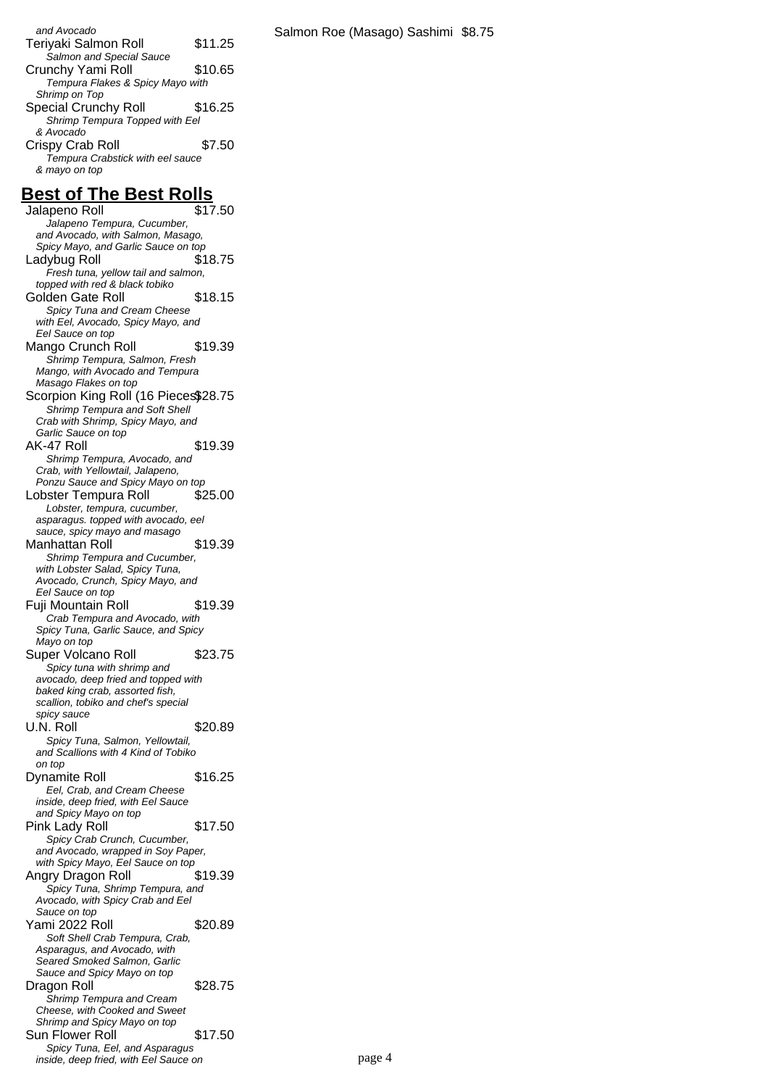and Avocado Teriyaki Salmon Roll \$11.25 Salmon and Special Sauce Crunchy Yami Roll \$10.65 Tempura Flakes & Spicy Mayo with Shrimp on Top Special Crunchy Roll \$16.25 Shrimp Tempura Topped with Eel & Avocado Crispy Crab Roll \$7.50

Tempura Crabstick with eel sauce & mayo on top

#### **Best of The Best Rolls**

Jalapeno Roll **\$17.50** Jalapeno Tempura, Cucumber, and Avocado, with Salmon, Masago, Spicy Mayo, and Garlic Sauce on top Ladybug Roll \$18.75 Fresh tuna, yellow tail and salmon, topped with red & black tobiko Golden Gate Roll \$18.15 Spicy Tuna and Cream Cheese with Eel, Avocado, Spicy Mayo, and Eel Sauce on top Mango Crunch Roll \$19.39 Shrimp Tempura, Salmon, Fresh Mango, with Avocado and Tempura Masago Flakes on top Scorpion King Roll (16 Pieces\$28.75 Shrimp Tempura and Soft Shell Crab with Shrimp, Spicy Mayo, and Garlic Sauce on top AK-47 Roll \$19.39 Shrimp Tempura, Avocado, and Crab, with Yellowtail, Jalapeno, Ponzu Sauce and Spicy Mayo on top Lobster Tempura Roll \$25.00 Lobster, tempura, cucumber, asparagus. topped with avocado, eel sauce, spicy mayo and masago Manhattan Roll \$19.39 Shrimp Tempura and Cucumber, with Lobster Salad, Spicy Tuna, Avocado, Crunch, Spicy Mayo, and Eel Sauce on top Fuji Mountain Roll \$19.39 Crab Tempura and Avocado, with Spicy Tuna, Garlic Sauce, and Spicy Mayo on top Super Volcano Roll \$23.75 Spicy tuna with shrimp and avocado, deep fried and topped with baked king crab, assorted fish, scallion, tobiko and chef's special spicy sauce U.N. Roll \$20.89 Spicy Tuna, Salmon, Yellowtail, and Scallions with 4 Kind of Tobiko on top Dynamite Roll \$16.25 Eel, Crab, and Cream Cheese inside, deep fried, with Eel Sauce and Spicy Mayo on top Pink Lady Roll \$17.50 Spicy Crab Crunch, Cucumber, and Avocado, wrapped in Soy Paper, with Spicy Mayo, Eel Sauce on top Angry Dragon Roll \$19.39 Spicy Tuna, Shrimp Tempura, and Avocado, with Spicy Crab and Eel Sauce on top Yami 2022 Roll \$20.89 Soft Shell Crab Tempura, Crab, Asparagus, and Avocado, with Seared Smoked Salmon, Garlic Sauce and Spicy Mayo on top Dragon Roll \$28.75 Shrimp Tempura and Cream Cheese, with Cooked and Sweet Shrimp and Spicy Mayo on top Sun Flower Roll \$17.50 Spicy Tuna, Eel, and Asparagus inside, deep fried, with Eel Sauce on